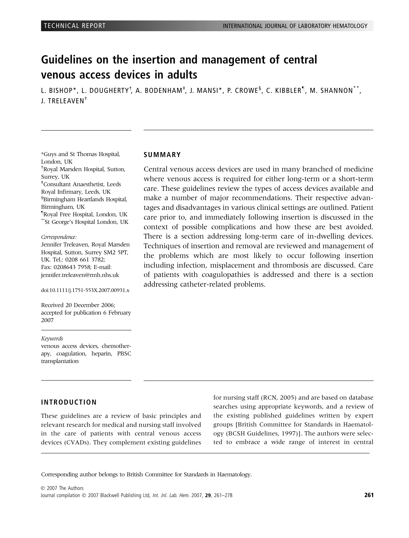# Guidelines on the insertion and management of central venous access devices in adults

L. BISHOP\*, L. DOUGHERTY†, A. BODENHAM‡, J. MANSI\*, P. CROWE<sup>§</sup>, C. KIBBLER<sup>¶</sup>, M. SHANNON<sup>\*\*</sup>, J. TRELEAVEN†

\*Guys and St Thomas Hospital, London, UK † Royal Marsden Hospital, Sutton, Surrey, UK ‡ Consultant Anaesthetist, Leeds Royal Infirmary, Leeds, UK § Birmingham Heartlands Hospital, Birmingham, UK – Royal Free Hospital, London, UK \*\*St George's Hospital London, UK

Correspondence: Jennifer Treleaven, Royal Marsden Hospital, Sutton, Surrey SM2 5PT, UK. Tel.: 0208 661 3782; Fax: 0208643 7958; E-mail: jennifer.treleaven@rmh.nhs.uk

doi:10.1111/j.1751-553X.2007.00931.x

Received 20 December 2006; accepted for publication 6 February 2007

Keywords

venous access devices, chemotherapy, coagulation, heparin, PBSC transplantation

#### SUMMARY

Central venous access devices are used in many branched of medicine where venous access is required for either long-term or a short-term care. These guidelines review the types of access devices available and make a number of major recommendations. Their respective advantages and disadvantages in various clinical settings are outlined. Patient care prior to, and immediately following insertion is discussed in the context of possible complications and how these are best avoided. There is a section addressing long-term care of in-dwelling devices. Techniques of insertion and removal are reviewed and management of the problems which are most likely to occur following insertion including infection, misplacement and thrombosis are discussed. Care of patients with coagulopathies is addressed and there is a section addressing catheter-related problems.

# INTRODUCTION

These guidelines are a review of basic principles and relevant research for medical and nursing staff involved in the care of patients with central venous access devices (CVADs). They complement existing guidelines for nursing staff (RCN, 2005) and are based on database searches using appropriate keywords, and a review of the existing published guidelines written by expert groups [British Committee for Standards in Haematology (BCSH Guidelines, 1997)]. The authors were selected to embrace a wide range of interest in central

Corresponding author belongs to British Committee for Standards in Haematology.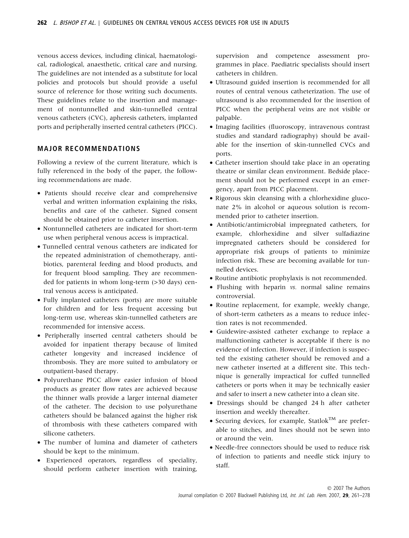venous access devices, including clinical, haematological, radiological, anaesthetic, critical care and nursing. The guidelines are not intended as a substitute for local policies and protocols but should provide a useful source of reference for those writing such documents. These guidelines relate to the insertion and management of nontunnelled and skin-tunnelled central venous catheters (CVC), apheresis catheters, implanted ports and peripherally inserted central catheters (PICC).

#### MAJOR RECOMMENDATIONS

Following a review of the current literature, which is fully referenced in the body of the paper, the following recommendations are made.

- Patients should receive clear and comprehensive verbal and written information explaining the risks, benefits and care of the catheter. Signed consent should be obtained prior to catheter insertion.
- Nontunnelled catheters are indicated for short-term use when peripheral venous access is impractical.
- Tunnelled central venous catheters are indicated for the repeated administration of chemotherapy, antibiotics, parenteral feeding and blood products, and for frequent blood sampling. They are recommended for patients in whom long-term (>30 days) central venous access is anticipated.
- Fully implanted catheters (ports) are more suitable for children and for less frequent accessing but long-term use, whereas skin-tunnelled catheters are recommended for intensive access.
- Peripherally inserted central catheters should be avoided for inpatient therapy because of limited catheter longevity and increased incidence of thrombosis. They are more suited to ambulatory or outpatient-based therapy.
- Polyurethane PICC allow easier infusion of blood products as greater flow rates are achieved because the thinner walls provide a larger internal diameter of the catheter. The decision to use polyurethane catheters should be balanced against the higher risk of thrombosis with these catheters compared with silicone catheters.
- The number of lumina and diameter of catheters should be kept to the minimum.
- Experienced operators, regardless of speciality, should perform catheter insertion with training,

supervision and competence assessment programmes in place. Paediatric specialists should insert catheters in children.

- Ultrasound guided insertion is recommended for all routes of central venous catheterization. The use of ultrasound is also recommended for the insertion of PICC when the peripheral veins are not visible or palpable.
- Imaging facilities (fluoroscopy, intravenous contrast studies and standard radiography) should be available for the insertion of skin-tunnelled CVCs and ports.
- Catheter insertion should take place in an operating theatre or similar clean environment. Bedside placement should not be performed except in an emergency, apart from PICC placement.
- Rigorous skin cleansing with a chlorhexidine gluconate 2% in alcohol or aqueous solution is recommended prior to catheter insertion.
- Antibiotic/antimicrobial impregnated catheters, for example, chlorhexidine and silver sulfadiazine impregnated catheters should be considered for appropriate risk groups of patients to minimize infection risk. These are becoming available for tunnelled devices.
- Routine antibiotic prophylaxis is not recommended.
- Flushing with heparin vs. normal saline remains controversial.
- Routine replacement, for example, weekly change, of short-term catheters as a means to reduce infection rates is not recommended.
- Guidewire-assisted catheter exchange to replace a malfunctioning catheter is acceptable if there is no evidence of infection. However, if infection is suspected the existing catheter should be removed and a new catheter inserted at a different site. This technique is generally impractical for cuffed tunnelled catheters or ports when it may be technically easier and safer to insert a new catheter into a clean site.
- Dressings should be changed 24 h after catheter insertion and weekly thereafter.
- Securing devices, for example, Statlok<sup>TM</sup> are preferable to stitches, and lines should not be sewn into or around the vein.
- Needle-free connectors should be used to reduce risk of infection to patients and needle stick injury to staff.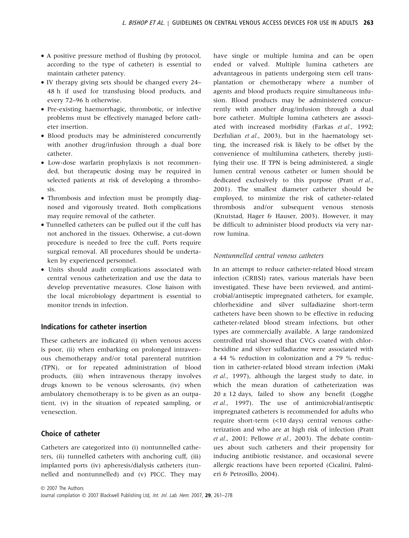- A positive pressure method of flushing (by protocol, according to the type of catheter) is essential to maintain catheter patency.
- IV therapy giving sets should be changed every 24– 48 h if used for transfusing blood products, and every 72–96 h otherwise.
- Pre-existing haemorrhagic, thrombotic, or infective problems must be effectively managed before catheter insertion.
- Blood products may be administered concurrently with another drug/infusion through a dual bore catheter.
- Low-dose warfarin prophylaxis is not recommended, but therapeutic dosing may be required in selected patients at risk of developing a thrombosis.
- Thrombosis and infection must be promptly diagnosed and vigorously treated. Both complications may require removal of the catheter.
- Tunnelled catheters can be pulled out if the cuff has not anchored in the tissues. Otherwise, a cut-down procedure is needed to free the cuff. Ports require surgical removal. All procedures should be undertaken by experienced personnel.
- Units should audit complications associated with central venous catheterization and use the data to develop preventative measures. Close liaison with the local microbiology department is essential to monitor trends in infection.

#### Indications for catheter insertion

These catheters are indicated (i) when venous access is poor, (ii) when embarking on prolonged intravenous chemotherapy and/or total parenteral nutrition (TPN), or for repeated administration of blood products, (iii) when intravenous therapy involves drugs known to be venous sclerosants, (iv) when ambulatory chemotherapy is to be given as an outpatient, (v) in the situation of repeated sampling, or venesection.

# Choice of catheter

Catheters are categorized into (i) nontunnelled catheters, (ii) tunnelled catheters with anchoring cuff, (iii) implanted ports (iv) apheresis/dialysis catheters (tunnelled and nontunnelled) and (v) PICC. They may ended or valved. Multiple lumina catheters are advantageous in patients undergoing stem cell transplantation or chemotherapy where a number of agents and blood products require simultaneous infusion. Blood products may be administered concurrently with another drug/infusion through a dual bore catheter. Multiple lumina catheters are associated with increased morbidity (Farkas et al., 1992; Dezfulian et al., 2003), but in the haematology setting, the increased risk is likely to be offset by the convenience of multilumina catheters, thereby justifying their use. If TPN is being administered, a single lumen central venous catheter or lumen should be dedicated exclusively to this purpose (Pratt et al., 2001). The smallest diameter catheter should be employed, to minimize the risk of catheter-related thrombosis and/or subsequent venous stenosis (Knutstad, Hager & Hauser, 2003). However, it may be difficult to administer blood products via very narrow lumina.

have single or multiple lumina and can be open

## Nontunnelled central venous catheters

In an attempt to reduce catheter-related blood stream infection (CRBSI) rates, various materials have been investigated. These have been reviewed, and antimicrobial/antiseptic impregnated catheters, for example, chlorhexidine and silver sulfadiazine short-term catheters have been shown to be effective in reducing catheter-related blood stream infections, but other types are commercially available. A large randomized controlled trial showed that CVCs coated with chlorhexidine and silver sulfadiazine were associated with a 44 % reduction in colonization and a 79 % reduction in catheter-related blood stream infection (Maki et al., 1997), although the largest study to date, in which the mean duration of catheterization was  $20 \pm 12$  days, failed to show any benefit (Logghe et al., 1997). The use of antimicrobial/antiseptic impregnated catheters is recommended for adults who require short-term (<10 days) central venous catheterization and who are at high risk of infection (Pratt et al., 2001; Pellowe et al., 2003). The debate continues about such catheters and their propensity for inducing antibiotic resistance, and occasional severe allergic reactions have been reported (Cicalini, Palmieri & Petrosillo, 2004).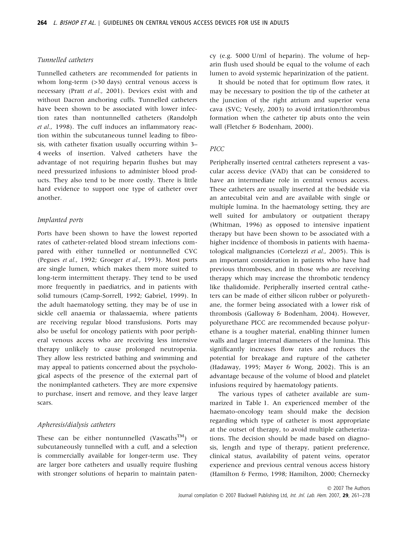## Tunnelled catheters

Tunnelled catheters are recommended for patients in whom long-term (>30 days) central venous access is necessary (Pratt et al., 2001). Devices exist with and without Dacron anchoring cuffs. Tunnelled catheters have been shown to be associated with lower infection rates than nontunnelled catheters (Randolph et al., 1998). The cuff induces an inflammatory reaction within the subcutaneous tunnel leading to fibrosis, with catheter fixation usually occurring within 3– 4 weeks of insertion. Valved catheters have the advantage of not requiring heparin flushes but may need pressurized infusions to administer blood products. They also tend to be more costly. There is little hard evidence to support one type of catheter over another.

#### Implanted ports

Ports have been shown to have the lowest reported rates of catheter-related blood stream infections compared with either tunnelled or nontunnelled CVC (Pegues et al., 1992; Groeger et al., 1993). Most ports are single lumen, which makes them more suited to long-term intermittent therapy. They tend to be used more frequently in paediatrics, and in patients with solid tumours (Camp-Sorrell, 1992; Gabriel, 1999). In the adult haematology setting, they may be of use in sickle cell anaemia or thalassaemia, where patients are receiving regular blood transfusions. Ports may also be useful for oncology patients with poor peripheral venous access who are receiving less intensive therapy unlikely to cause prolonged neutropenia. They allow less restricted bathing and swimming and may appeal to patients concerned about the psychological aspects of the presence of the external part of the nonimplanted catheters. They are more expensive to purchase, insert and remove, and they leave larger scars.

#### Apheresis/dialysis catheters

These can be either nontunnelled (Vascaths<sup>TM</sup>) or subcutaneously tunnelled with a cuff, and a selection is commercially available for longer-term use. They are larger bore catheters and usually require flushing with stronger solutions of heparin to maintain patency (e.g. 5000 U/ml of heparin). The volume of heparin flush used should be equal to the volume of each lumen to avoid systemic heparinization of the patient.

It should be noted that for optimum flow rates, it may be necessary to position the tip of the catheter at the junction of the right atrium and superior vena cava (SVC; Vesely, 2003) to avoid irritation/thrombus formation when the catheter tip abuts onto the vein wall (Fletcher & Bodenham, 2000).

#### PICC

Peripherally inserted central catheters represent a vascular access device (VAD) that can be considered to have an intermediate role in central venous access. These catheters are usually inserted at the bedside via an antecubital vein and are available with single or multiple lumina. In the haematology setting, they are well suited for ambulatory or outpatient therapy (Whitman, 1996) as opposed to intensive inpatient therapy but have been shown to be associated with a higher incidence of thombosis in patients with haematological malignancies (Cortelezzi et al., 2005). This is an important consideration in patients who have had previous thromboses, and in those who are receiving therapy which may increase the thrombotic tendency like thalidomide. Peripherally inserted central catheters can be made of either silicon rubber or polyurethane, the former being associated with a lower risk of thrombosis (Galloway & Bodenham, 2004). However, polyurethane PICC are recommended because polyurethane is a tougher material, enabling thinner lumen walls and larger internal diameters of the lumina. This significantly increases flow rates and reduces the potential for breakage and rupture of the catheter (Hadaway, 1995; Mayer & Wong, 2002). This is an advantage because of the volume of blood and platelet infusions required by haematology patients.

The various types of catheter available are summarized in Table 1. An experienced member of the haemato-oncology team should make the decision regarding which type of catheter is most appropriate at the outset of therapy, to avoid multiple catheterizations. The decision should be made based on diagnosis, length and type of therapy, patient preference, clinical status, availability of patent veins, operator experience and previous central venous access history (Hamilton & Fermo, 1998; Hamilton, 2000; Chernecky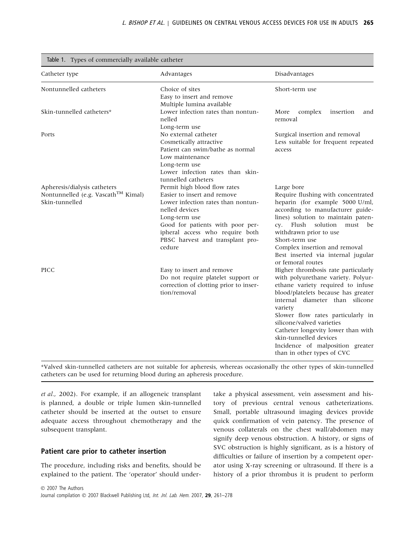| Catheter type                                                                                     | Advantages                                                                                                                                                                                                                                                | Disadvantages                                                                                                                                                                                                                                                                                                                                                                                           |
|---------------------------------------------------------------------------------------------------|-----------------------------------------------------------------------------------------------------------------------------------------------------------------------------------------------------------------------------------------------------------|---------------------------------------------------------------------------------------------------------------------------------------------------------------------------------------------------------------------------------------------------------------------------------------------------------------------------------------------------------------------------------------------------------|
| Nontunnelled catheters                                                                            | Choice of sites<br>Easy to insert and remove<br>Multiple lumina available                                                                                                                                                                                 | Short-term use                                                                                                                                                                                                                                                                                                                                                                                          |
| Skin-tunnelled catheters*                                                                         | Lower infection rates than nontun-<br>nelled<br>Long-term use                                                                                                                                                                                             | complex<br>More<br>insertion<br>and<br>removal                                                                                                                                                                                                                                                                                                                                                          |
| Ports                                                                                             | No external catheter<br>Cosmetically attractive<br>Patient can swim/bathe as normal<br>Low maintenance<br>Long-term use<br>Lower infection rates than skin-<br>tunnelled catheters                                                                        | Surgical insertion and removal<br>Less suitable for frequent repeated<br>access                                                                                                                                                                                                                                                                                                                         |
| Apheresis/dialysis catheters<br>Nontunnelled (e.g. Vascath <sup>TM</sup> Kimal)<br>Skin-tunnelled | Permit high blood flow rates<br>Easier to insert and remove<br>Lower infection rates than nontun-<br>nelled devices<br>Long-term use<br>Good for patients with poor per-<br>ipheral access who require both<br>PBSC harvest and transplant pro-<br>cedure | Large bore<br>Require flushing with concentrated<br>heparin (for example 5000 U/ml,<br>according to manufacturer guide-<br>lines) solution to maintain paten-<br>cy. Flush<br>solution<br>must<br>be<br>withdrawn prior to use<br>Short-term use<br>Complex insertion and removal<br>Best inserted via internal jugular<br>or femoral routes                                                            |
| PICC                                                                                              | Easy to insert and remove<br>Do not require platelet support or<br>correction of clotting prior to inser-<br>tion/removal                                                                                                                                 | Higher thrombosis rate particularly<br>with polyurethane variety. Polyur-<br>ethane variety required to infuse<br>blood/platelets because has greater<br>internal diameter than silicone<br>variety<br>Slower flow rates particularly in<br>silicone/valved varieties<br>Catheter longevity lower than with<br>skin-tunnelled devices<br>Incidence of malposition greater<br>than in other types of CVC |

\*Valved skin-tunnelled catheters are not suitable for apheresis, whereas occasionally the other types of skin-tunnelled catheters can be used for returning blood during an apheresis procedure.

et al., 2002). For example, if an allogeneic transplant is planned, a double or triple lumen skin-tunnelled catheter should be inserted at the outset to ensure adequate access throughout chemotherapy and the subsequent transplant.

## Patient care prior to catheter insertion

The procedure, including risks and benefits, should be explained to the patient. The 'operator' should undertake a physical assessment, vein assessment and history of previous central venous catheterizations. Small, portable ultrasound imaging devices provide quick confirmation of vein patency. The presence of venous collaterals on the chest wall/abdomen may signify deep venous obstruction. A history, or signs of SVC obstruction is highly significant, as is a history of difficulties or failure of insertion by a competent operator using X-ray screening or ultrasound. If there is a history of a prior thrombus it is prudent to perform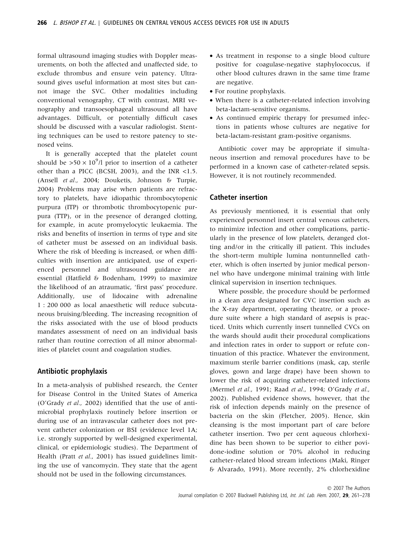formal ultrasound imaging studies with Doppler measurements, on both the affected and unaffected side, to exclude thrombus and ensure vein patency. Ultrasound gives useful information at most sites but cannot image the SVC. Other modalities including conventional venography, CT with contrast, MRI venography and transoesophageal ultrasound all have advantages. Difficult, or potentially difficult cases should be discussed with a vascular radiologist. Stenting techniques can be used to restore patency to stenosed veins.

It is generally accepted that the platelet count should be  $>50 \times 10^9$ /l prior to insertion of a catheter other than a PICC (BCSH, 2003), and the INR <1.5. (Ansell et al., 2004; Douketis, Johnson & Turpie, 2004) Problems may arise when patients are refractory to platelets, have idiopathic thrombocytopenic purpura (ITP) or thrombotic thrombocytopenic purpura (TTP), or in the presence of deranged clotting, for example, in acute promyelocytic leukaemia. The risks and benefits of insertion in terms of type and site of catheter must be assessed on an individual basis. Where the risk of bleeding is increased, or when difficulties with insertion are anticipated, use of experienced personnel and ultrasound guidance are essential (Hatfield & Bodenham, 1999) to maximize the likelihood of an atraumatic, 'first pass' procedure. Additionally, use of lidocaine with adrenaline 1 : 200 000 as local anaesthetic will reduce subcutaneous bruising/bleeding. The increasing recognition of the risks associated with the use of blood products mandates assessment of need on an individual basis rather than routine correction of all minor abnormalities of platelet count and coagulation studies.

## Antibiotic prophylaxis

In a meta-analysis of published research, the Center for Disease Control in the United States of America (O'Grady et al., 2002) identified that the use of antimicrobial prophylaxis routinely before insertion or during use of an intravascular catheter does not prevent catheter colonization or BSI (evidence level 1A; i.e. strongly supported by well-designed experimental, clinical, or epidemiologic studies). The Department of Health (Pratt et al., 2001) has issued guidelines limiting the use of vancomycin. They state that the agent should not be used in the following circumstances.

- As treatment in response to a single blood culture positive for coagulase-negative staphylococcus, if other blood cultures drawn in the same time frame are negative.
- For routine prophylaxis.
- When there is a catheter-related infection involving beta-lactam-sensitive organisms.
- As continued empiric therapy for presumed infections in patients whose cultures are negative for beta-lactam-resistant gram-positive organisms.

Antibiotic cover may be appropriate if simultaneous insertion and removal procedures have to be performed in a known case of catheter-related sepsis. However, it is not routinely recommended.

#### Catheter insertion

As previously mentioned, it is essential that only experienced personnel insert central venous catheters, to minimize infection and other complications, particularly in the presence of low platelets, deranged clotting and/or in the critically ill patient. This includes the short-term multiple lumina nontunnelled catheter, which is often inserted by junior medical personnel who have undergone minimal training with little clinical supervision in insertion techniques.

Where possible, the procedure should be performed in a clean area designated for CVC insertion such as the X-ray department, operating theatre, or a procedure suite where a high standard of asepsis is practiced. Units which currently insert tunnelled CVCs on the wards should audit their procedural complications and infection rates in order to support or refute continuation of this practice. Whatever the environment, maximum sterile barrier conditions (mask, cap, sterile gloves, gown and large drape) have been shown to lower the risk of acquiring catheter-related infections (Mermel et al., 1991; Raad et al., 1994; O'Grady et al., 2002). Published evidence shows, however, that the risk of infection depends mainly on the presence of bacteria on the skin (Fletcher, 2005). Hence, skin cleansing is the most important part of care before catheter insertion. Two per cent aqueous chlorhexidine has been shown to be superior to either povidone-iodine solution or 70% alcohol in reducing catheter-related blood stream infections (Maki, Ringer & Alvarado, 1991). More recently, 2% chlorhexidine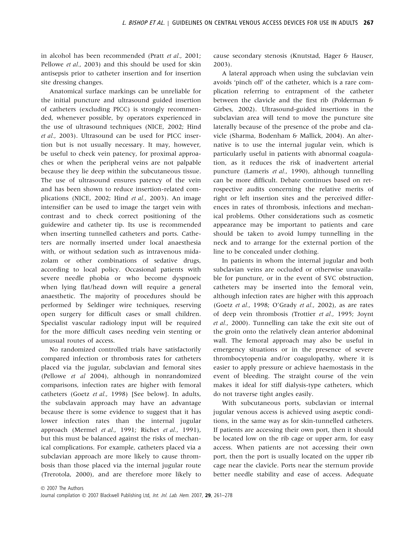in alcohol has been recommended (Pratt et al., 2001; Pellowe et al., 2003) and this should be used for skin antisepsis prior to catheter insertion and for insertion site dressing changes.

Anatomical surface markings can be unreliable for the initial puncture and ultrasound guided insertion of catheters (excluding PICC) is strongly recommended, whenever possible, by operators experienced in the use of ultrasound techniques (NICE, 2002; Hind et al., 2003). Ultrasound can be used for PICC insertion but is not usually necessary. It may, however, be useful to check vein patency, for proximal approaches or when the peripheral veins are not palpable because they lie deep within the subcutaneous tissue. The use of ultrasound ensures patency of the vein and has been shown to reduce insertion-related complications (NICE, 2002; Hind et al., 2003). An image intensifier can be used to image the target vein with contrast and to check correct positioning of the guidewire and catheter tip. Its use is recommended when inserting tunnelled catheters and ports. Catheters are normally inserted under local anaesthesia with, or without sedation such as intravenous midazolam or other combinations of sedative drugs, according to local policy. Occasional patients with severe needle phobia or who become dyspnoeic when lying flat/head down will require a general anaesthetic. The majority of procedures should be performed by Seldinger wire techniques, reserving open surgery for difficult cases or small children. Specialist vascular radiology input will be required for the more difficult cases needing vein stenting or unusual routes of access.

No randomized controlled trials have satisfactorily compared infection or thrombosis rates for catheters placed via the jugular, subclavian and femoral sites (Pellowe et al 2004), although in nonrandomized comparisons, infection rates are higher with femoral catheters (Goetz et al., 1998) [See below]. In adults, the subclavain approach may have an advantage because there is some evidence to suggest that it has lower infection rates than the internal jugular approach (Mermel et al., 1991; Richet et al., 1991), but this must be balanced against the risks of mechanical complications. For example, catheters placed via a subclavian approach are more likely to cause thrombosis than those placed via the internal jugular route (Trerotola, 2000), and are therefore more likely to

cause secondary stenosis (Knutstad, Hager & Hauser, 2003).

A lateral approach when using the subclavian vein avoids 'pinch off' of the catheter, which is a rare complication referring to entrapment of the catheter between the clavicle and the first rib (Polderman & Girbes, 2002). Ultrasound-guided insertions in the subclavian area will tend to move the puncture site laterally because of the presence of the probe and clavicle (Sharma, Bodenham & Mallick, 2004). An alternative is to use the internal jugular vein, which is particularly useful in patients with abnormal coagulation, as it reduces the risk of inadvertent arterial puncture (Lameris et al., 1990), although tunnelling can be more difficult. Debate continues based on retrospective audits concerning the relative merits of right or left insertion sites and the perceived differences in rates of thrombosis, infections and mechanical problems. Other considerations such as cosmetic appearance may be important to patients and care should be taken to avoid lumpy tunnelling in the neck and to arrange for the external portion of the line to be concealed under clothing.

In patients in whom the internal jugular and both subclavian veins are occluded or otherwise unavailable for puncture, or in the event of SVC obstruction, catheters may be inserted into the femoral vein, although infection rates are higher with this approach (Goetz et al., 1998; O'Grady et al., 2002), as are rates of deep vein thrombosis (Trottier et al., 1995; Joynt et al., 2000). Tunnelling can take the exit site out of the groin onto the relatively clean anterior abdominal wall. The femoral approach may also be useful in emergency situations or in the presence of severe thrombocytopenia and/or coagulopathy, where it is easier to apply pressure or achieve haemostasis in the event of bleeding. The straight course of the vein makes it ideal for stiff dialysis-type catheters, which do not traverse tight angles easily.

With subcutaneous ports, subclavian or internal jugular venous access is achieved using aseptic conditions, in the same way as for skin-tunnelled catheters. If patients are accessing their own port, then it should be located low on the rib cage or upper arm, for easy access. When patients are not accessing their own port, then the port is usually located on the upper rib cage near the clavicle. Ports near the sternum provide better needle stability and ease of access. Adequate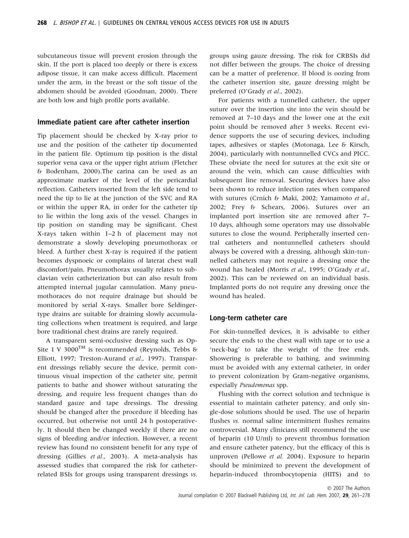subcutaneous tissue will prevent erosion through the skin. If the port is placed too deeply or there is excess adipose tissue, it can make access difficult. Placement under the arm, in the breast or the soft tissue of the abdomen should be avoided (Goodman, 2000). There are both low and high profile ports available.

#### Immediate patient care after catheter insertion

Tip placement should be checked by X-ray prior to use and the position of the catheter tip documented in the patient file. Optimum tip position is the distal superior vena cava or the upper right atrium (Fletcher & Bodenham, 2000).The carina can be used as an approximate marker of the level of the pericardial reflection. Catheters inserted from the left side tend to need the tip to lie at the junction of the SVC and RA or within the upper RA, in order for the catheter tip to lie within the long axis of the vessel. Changes in tip position on standing may be significant. Chest X-rays taken within 1–2 h of placement may not demonstrate a slowly developing pneumothorax or bleed. A further chest X-ray is required if the patient becomes dyspnoeic or complains of laterat chest wall discomfort/pain. Pneumothorax usually relates to subclavian vein catheterization but can also result from attempted internal jugular cannulation. Many pneumothoraces do not require drainage but should be monitored by serial X-rays. Smaller bore Seldingertype drains are suitable for draining slowly accumulating collections when treatment is required, and large bore traditional chest drains are rarely required.

A transparent semi-occlusive dressing such as Op-Site 1 V 3000<sup>TM</sup> is recommended (Reynolds, Tebbs & Elliott, 1997; Treston-Aurand et al., 1997). Transparent dressings reliably secure the device, permit continuous visual inspection of the catheter site, permit patients to bathe and shower without saturating the dressing, and require less frequent changes than do standard gauze and tape dressings. The dressing should be changed after the procedure if bleeding has occurred, but otherwise not until 24 h postoperatively. It should then be changed weekly if there are no signs of bleeding and/or infection. However, a recent review has found no consistent benefit for any type of dressing (Gillies et al., 2003). A meta-analysis has assessed studies that compared the risk for catheterrelated BSIs for groups using transparent dressings vs.

groups using gauze dressing. The risk for CRBSIs did not differ between the groups. The choice of dressing can be a matter of preference. If blood is oozing from the catheter insertion site, gauze dressing might be preferred (O'Grady et al., 2002).

For patients with a tunnelled catheter, the upper suture over the insertion site into the vein should be removed at 7–10 days and the lower one at the exit point should be removed after 3 weeks. Recent evidence supports the use of securing devices, including tapes, adhesives or staples (Motonaga, Lee & Kirsch, 2004), particularly with nontunnelled CVCs and PICC. These obviate the need for sutures at the exit site or around the vein, which can cause difficulties with subsequent line removal. Securing devices have also been shown to reduce infection rates when compared with sutures (Crnich & Maki, 2002; Yamamoto et al., 2002; Frey & Schears, 2006). Sutures over an implanted port insertion site are removed after 7– 10 days, although some operators may use dissolvable sutures to close the wound. Peripherally inserted central catheters and nontunnelled catheters should always be covered with a dressing, although skin-tunnelled catheters may not require a dressing once the wound has healed (Morris et al., 1995; O'Grady et al., 2002). This can be reviewed on an individual basis. Implanted ports do not require any dressing once the wound has healed.

## Long-term catheter care

For skin-tunnelled devices, it is advisable to either secure the ends to the chest wall with tape or to use a 'neck-bag' to take the weight of the free ends. Showering is preferable to bathing, and swimming must be avoided with any external catheter, in order to prevent colonization by Gram-negative organisms, especially Pseudomonas spp.

Flushing with the correct solution and technique is essential to maintain catheter patency, and only single-dose solutions should be used. The use of heparin flushes vs. normal saline intermittent flushes remains controversial. Many clinicians still recommend the use of heparin (10 U/ml) to prevent thrombus formation and ensure catheter patency, but the efficacy of this is unproven (Pellowe et al. 2004). Exposure to heparin should be minimized to prevent the development of heparin-induced thrombocytopenia (HITS) and to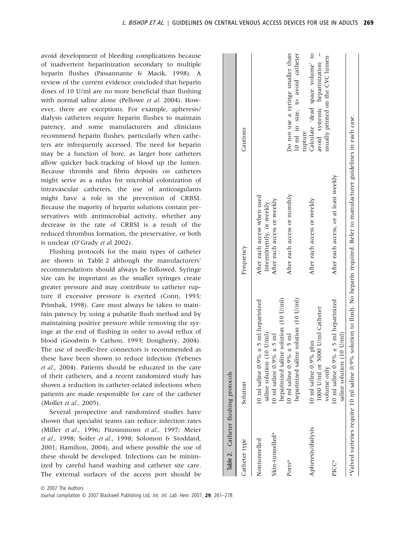avoid development of bleeding complications because of inadvertent heparinization secondary to multiple heparin flushes (Passannante & Macik, 1998). A review of the current evidence concluded that heparin doses of 10 U/ml are no more beneficial than flushing with normal saline alone (Pellowe et al. 2004). However, there are exceptions. For example, apheresis/ dialysis catheters require heparin flushes to maintain patency, and some manufacturers and clinicians recommend heparin flushes, particularly when catheters are infrequently accessed. The need for heparin may be a function of bore, as larger bore catheters allow quicker back-tracking of blood up the lumen. Because thrombi and fibrin deposits on catheters might serve as a nidus for microbial colonization of intravascular catheters, the use of anticoagulants might have a role in the prevention of CRBSI. Because the majority of heparin solutions contain preservatives with antimicrobial activity, whether any decrease in the rate of CRBSI is a result of the reduced thrombus formation, the preservative, or both is unclear (O'Grady et al 2002).

Flushing protocols for the main types of catheter are shown in Table 2 although the manufacturers' recommendations should always be followed. Syringe size can be important as the smaller syringes create greater pressure and may contribute to catheter rupture if excessive pressure is exerted (Conn, 1993; Primhak, 1998). Care must always be taken to maintain patency by using a pulsatile flush method and by maintaining positive pressure while removing the syringe at the end of flushing in order to avoid reflux of blood (Goodwin & Carlson, 1993; Dougherty, 2004). The use of needle-free connectors is recommended as these have been shown to reduce infection (Yebenes et al., 2004). Patients should be educated in the care of their catheters, and a recent randomized study has shown a reduction in catheter-related infections when patients are made responsible for care of the catheter (Moller et al., 2005).

Several prospective and randomized studies have shown that specialist teams can reduce infection rates (Miller et al., 1996; Fitzsimmons et al., 1997; Meier et al., 1998; Soifer et al., 1998; Solomon & Stoddard, 2001; Hamilton, 2004), and where possible the use of these should be developed. Infections can be minimized by careful hand washing and catheter site care. The external surfaces of the access port should be

| Table 2. Catheter flushing protocols |                                                                                                                                    |                                                          |                                                                                |
|--------------------------------------|------------------------------------------------------------------------------------------------------------------------------------|----------------------------------------------------------|--------------------------------------------------------------------------------|
| Catheter type                        | Solution                                                                                                                           | Frequency                                                | Cautions                                                                       |
| Nontunnelled                         | 10 ml saline $0.9% \pm 5$ ml heparinized<br>$(10$ U/ml)<br>saline solution                                                         | After each access when used<br>intermittently, or weekly |                                                                                |
| Skin-tunnelled*                      | heparinized saline solution (10 U/ml)<br>10 ml saline $0.9\% \pm 5$ ml                                                             | After each access or weekly                              |                                                                                |
| Ports*                               | heparinized saline solution (10 U/ml)<br>10 ml saline $0.9\% \pm 5$ ml                                                             | After each access or monthly                             | Do not use a syringe smaller than<br>10 ml in size, to avoid catheter          |
| Apheresis/dialysis                   | 1000 U/ml or 5000 U/ml Catheter<br>10 ml saline $0.9%$ plus                                                                        | After each access or weekly                              | Calculate 'dead space volume' to<br>avoid systemic heparinization -<br>rupture |
| PICC*                                | 10 ml saline $0.9\% \pm 5$ ml heparinized<br>$(10 \text{ U/ml})$<br>saline solution<br>volume only                                 | After each access, or at least weekly                    | usually printed on the CVC lumen                                               |
|                                      | *Valved varieties require 10 ml saline 0.9% solution to flush. No heparin required. Refer to manufacturer guidelines in each case. |                                                          |                                                                                |

© 2007 The Authors Journal compilation © 2007 Blackwell Publishing Ltd, Int. Jnl. Lab. Hem. 2007, 29, 261–278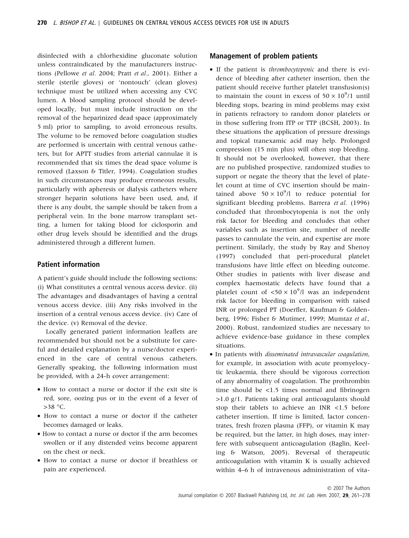disinfected with a chlorhexidine gluconate solution unless contraindicated by the manufacturers instructions (Pellowe et al. 2004; Pratt et al., 2001). Either a sterile (sterile gloves) or 'nontouch' (clean gloves) technique must be utilized when accessing any CVC lumen. A blood sampling protocol should be developed locally, but must include instruction on the removal of the heparinized dead space (approximately 5 ml) prior to sampling, to avoid erroneous results. The volume to be removed before coagulation studies are performed is uncertain with central venous catheters, but for APTT studies from arterial cannulae it is recommended that six times the dead space volume is removed (Laxson & Titler, 1994). Coagulation studies in such circumstances may produce erroneous results, particularly with apheresis or dialysis catheters where stronger heparin solutions have been used, and, if there is any doubt, the sample should be taken from a peripheral vein. In the bone marrow transplant setting, a lumen for taking blood for ciclosporin and other drug levels should be identified and the drugs administered through a different lumen.

#### Patient information

A patient's guide should include the following sections: (i) What constitutes a central venous access device. (ii) The advantages and disadvantages of having a central venous access device. (iii) Any risks involved in the insertion of a central venous access device. (iv) Care of the device. (v) Removal of the device.

Locally generated patient information leaflets are recommended but should not be a substitute for careful and detailed explanation by a nurse/doctor experienced in the care of central venous catheters. Generally speaking, the following information must be provided, with a 24-h cover arrangement:

- How to contact a nurse or doctor if the exit site is red, sore, oozing pus or in the event of a fever of  $>38$  °C.
- How to contact a nurse or doctor if the catheter becomes damaged or leaks.
- How to contact a nurse or doctor if the arm becomes swollen or if any distended veins become apparent on the chest or neck.
- How to contact a nurse or doctor if breathless or pain are experienced.

#### Management of problem patients

- If the patient is thrombocytopenic and there is evidence of bleeding after catheter insertion, then the patient should receive further platelet transfusion(s) to maintain the count in excess of  $50 \times 10^9/1$  until bleeding stops, bearing in mind problems may exist in patients refractory to random donor platelets or in those suffering from ITP or TTP (BCSH, 2003). In these situations the application of pressure dressings and topical tranexamic acid may help. Prolonged compression (15 min plus) will often stop bleeding. It should not be overlooked, however, that there are no published prospective, randomized studies to support or negate the theory that the level of platelet count at time of CVC insertion should be maintained above  $50 \times 10^9$ /l to reduce potential for significant bleeding problems. Barrera et al. (1996) concluded that thrombocytopenia is not the only risk factor for bleeding and concludes that other variables such as insertion site, number of needle passes to cannulate the vein, and expertise are more pertinent. Similarly, the study by Ray and Shenoy (1997) concluded that peri-procedural platelet transfusions have little effect on bleeding outcome. Other studies in patients with liver disease and complex haemostatic defects have found that a platelet count of  $\langle 50 \times 10^9 / 1 \rangle$  was an independent risk factor for bleeding in comparison with raised INR or prolonged PT (Doerfler, Kaufman & Goldenberg, 1996; Fisher & Mutimer, 1999; Mumtaz et al., 2000). Robust, randomized studies are necessary to achieve evidence-base guidance in these complex situations.
- In patients with disseminated intravascular coagulation, for example, in association with acute promyelocytic leukaemia, there should be vigorous correction of any abnormality of coagulation. The prothrombin time should be <1.5 times normal and fibrinogen >1.0 g/1. Patients taking oral anticoagulants should stop their tablets to achieve an INR <1.5 before catheter insertion. If time is limited, factor concentrates, fresh frozen plasma (FFP), or vitamin K may be required, but the latter, in high doses, may interfere with subsequent anticoagulation (Baglin, Keeling & Watson, 2005). Reversal of therapeutic anticoagulation with vitamin K is usually achieved within 4–6 h of intravenous administration of vita-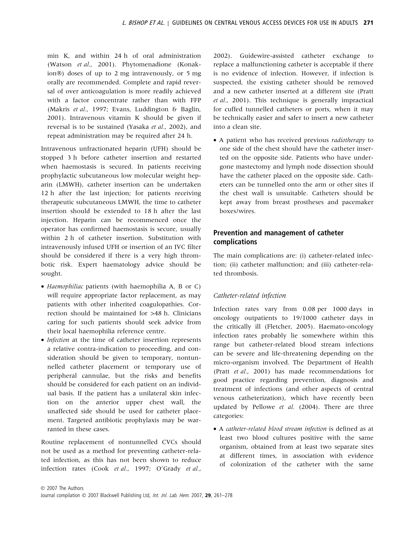min K, and within 24 h of oral administration (Watson et al., 2001). Phytomenadione (Konakion<sup>®</sup>) doses of up to 2 mg intravenously, or 5 mg orally are recommended. Complete and rapid reversal of over anticoagulation is more readily achieved with a factor concentrate rather than with FFP (Makris et al., 1997; Evans, Luddington & Baglin, 2001). Intravenous vitamin K should be given if reversal is to be sustained (Yasaka et al., 2002), and repeat administration may be required after 24 h.

Intravenous unfractionated heparin (UFH) should be stopped 3 h before catheter insertion and restarted when haemostasis is secured. In patients receiving prophylactic subcutaneous low molecular weight heparin (LMWH), catheter insertion can be undertaken 12 h after the last injection; for patients receiving therapeutic subcutaneous LMWH, the time to catheter insertion should be extended to 18 h after the last injection. Heparin can be recommenced once the operator has confirmed haemostasis is secure, usually within 2 h of catheter insertion. Substitution with intravenously infused UFH or insertion of an IVC filter should be considered if there is a very high thrombotic risk. Expert haematology advice should be sought.

- Haemophiliac patients (with haemophilia A, B or C) will require appropriate factor replacement, as may patients with other inherited coagulopathies. Correction should be maintained for >48 h. Clinicians caring for such patients should seek advice from their local haemophilia reference centre.
- *Infection* at the time of catheter insertion represents a relative contra-indication to proceeding, and consideration should be given to temporary, nontunnelled catheter placement or temporary use of peripheral cannulae, but the risks and benefits should be considered for each patient on an individual basis. If the patient has a unilateral skin infection on the anterior upper chest wall, the unaffected side should be used for catheter placement. Targeted antibiotic prophylaxis may be warranted in these cases.

Routine replacement of nontunnelled CVCs should not be used as a method for preventing catheter-related infection, as this has not been shown to reduce infection rates (Cook et al., 1997; O'Grady et al., 2002). Guidewire-assisted catheter exchange to replace a malfunctioning catheter is acceptable if there is no evidence of infection. However, if infection is suspected, the existing catheter should be removed and a new catheter inserted at a different site (Pratt et al., 2001). This technique is generally impractical for cuffed tunnelled catheters or ports, when it may be technically easier and safer to insert a new catheter into a clean site.

• A patient who has received previous radiotherapy to one side of the chest should have the catheter inserted on the opposite side. Patients who have undergone mastectomy and lymph node dissection should have the catheter placed on the opposite side. Catheters can be tunnelled onto the arm or other sites if the chest wall is unsuitable. Catheters should be kept away from breast prostheses and pacemaker boxes/wires.

# Prevention and management of catheter complications

The main complications are: (i) catheter-related infection; (ii) catheter malfunction; and (iii) catheter-related thrombosis.

## Catheter-related infection

Infection rates vary from 0.08 per 1000 days in oncology outpatients to 19/1000 catheter days in the critically ill (Fletcher, 2005). Haemato-oncology infection rates probably lie somewhere within this range but catheter-related blood stream infections can be severe and life-threatening depending on the micro-organism involved. The Department of Health (Pratt et al., 2001) has made recommendations for good practice regarding prevention, diagnosis and treatment of infections (and other aspects of central venous catheterization), which have recently been updated by Pellowe et al. (2004). There are three categories:

• A catheter-related blood stream infection is defined as at least two blood cultures positive with the same organism, obtained from at least two separate sites at different times, in association with evidence of colonization of the catheter with the same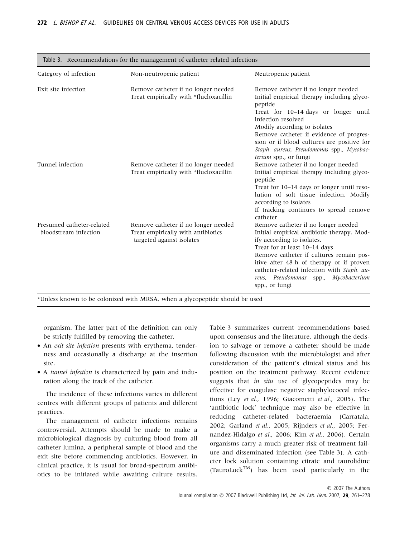| Table 3. Recommendations for the management of catheter related infections |                                                                                                        |                                                                                                                                                                                                                                                                                                                                                           |
|----------------------------------------------------------------------------|--------------------------------------------------------------------------------------------------------|-----------------------------------------------------------------------------------------------------------------------------------------------------------------------------------------------------------------------------------------------------------------------------------------------------------------------------------------------------------|
| Category of infection                                                      | Non-neutropenic patient                                                                                | Neutropenic patient                                                                                                                                                                                                                                                                                                                                       |
| Exit site infection                                                        | Remove catheter if no longer needed<br>Treat empirically with *flucloxacillin                          | Remove catheter if no longer needed<br>Initial empirical therapy including glyco-<br>peptide<br>Treat for 10–14 days or longer until<br>infection resolved<br>Modify according to isolates<br>Remove catheter if evidence of progres-<br>sion or if blood cultures are positive for<br>Staph. aureus, Pseudomonas spp., Mycobac-<br>terium spp., or fungi |
| Tunnel infection                                                           | Remove catheter if no longer needed<br>Treat empirically with *flucloxacillin                          | Remove catheter if no longer needed<br>Initial empirical therapy including glyco-<br>peptide<br>Treat for 10–14 days or longer until reso-<br>lution of soft tissue infection. Modify<br>according to isolates<br>If tracking continues to spread remove<br>catheter                                                                                      |
| Presumed catheter-related<br>bloodstream infection                         | Remove catheter if no longer needed<br>Treat empirically with antibiotics<br>targeted against isolates | Remove catheter if no longer needed<br>Initial empirical antibiotic therapy. Mod-<br>ify according to isolates.<br>Treat for at least 10-14 days<br>Remove catheter if cultures remain pos-<br>itive after 48 h of therapy or if proven<br>catheter-related infection with Staph. au-<br>reus, Pseudomonas spp., Mycobacterium<br>spp., or fungi          |

\*Unless known to be colonized with MRSA, when a glycopeptide should be used

organism. The latter part of the definition can only be strictly fulfilled by removing the catheter.

- An exit site infection presents with erythema, tenderness and occasionally a discharge at the insertion site.
- A tunnel infection is characterized by pain and induration along the track of the catheter.

The incidence of these infections varies in different centres with different groups of patients and different practices.

The management of catheter infections remains controversial. Attempts should be made to make a microbiological diagnosis by culturing blood from all catheter lumina, a peripheral sample of blood and the exit site before commencing antibiotics. However, in clinical practice, it is usual for broad-spectrum antibiotics to be initiated while awaiting culture results. Table 3 summarizes current recommendations based upon consensus and the literature, although the decision to salvage or remove a catheter should be made following discussion with the microbiologist and after consideration of the patient's clinical status and his position on the treatment pathway. Recent evidence suggests that in situ use of glycopeptides may be effective for coagulase negative staphylococcal infections (Ley et al., 1996; Giacometti et al., 2005). The 'antibiotic lock' technique may also be effective in reducing catheter-related bacteraemia (Carratala, 2002; Garland et al., 2005; Rijnders et al., 2005; Fernandez-Hidalgo et al., 2006; Kim et al., 2006). Certain organisms carry a much greater risk of treatment failure and disseminated infection (see Table 3). A catheter lock solution containing citrate and taurolidine (TauroLock<sup>TM</sup>) has been used particularly in the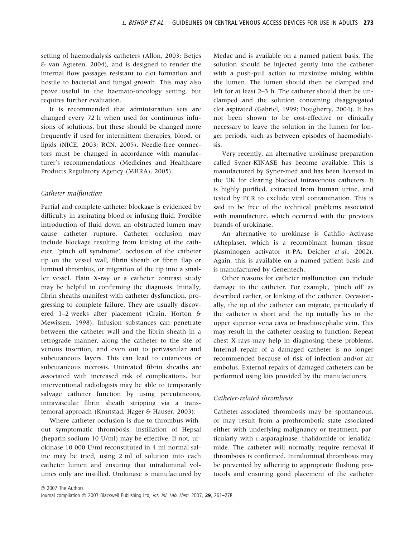setting of haemodialysis catheters (Allon, 2003; Betjes & van Agteren, 2004), and is designed to render the internal flow passages resistant to clot formation and hostile to bacterial and fungal growth. This may also prove useful in the haemato-oncology setting, but requires further evaluation.

It is recommended that administration sets are changed every 72 h when used for continuous infusions of solutions, but these should be changed more frequently if used for intermittent therapies, blood, or lipids (NICE, 2003; RCN, 2005). Needle-free connectors must be changed in accordance with manufacturer's recommendations (Medicines and Healthcare Products Regulatory Agency (MHRA), 2005).

#### Catheter malfunction

Partial and complete catheter blockage is evidenced by difficulty in aspirating blood or infusing fluid. Forcible introduction of fluid down an obstructed lumen may cause catheter rupture. Catheter occlusion may include blockage resulting from kinking of the catheter, 'pinch off syndrome', occlusion of the catheter tip on the vessel wall, fibrin sheath or fibrin flap or luminal thrombus, or migration of the tip into a smaller vessel. Plain X-ray or a catheter contrast study may be helpful in confirming the diagnosis. Initially, fibrin sheaths manifest with catheter dysfunction, progressing to complete failure. They are usually discovered 1–2 weeks after placement (Crain, Horton & Mewissen, 1998). Infusion substances can penetrate between the catheter wall and the fibrin sheath in a retrograde manner, along the catheter to the site of venous insertion, and even out to perivascular and subcutaneous layers. This can lead to cutaneous or subcutaneous necrosis. Untreated fibrin sheaths are associated with increased risk of complications, but interventional radiologists may be able to temporarily salvage catheter function by using percutaneous, intravascular fibrin sheath stripping via a transfemoral approach (Knutstad, Hager & Hauser, 2003).

Where catheter occlusion is due to thrombus without symptomatic thrombosis, instillation of Hepsal (heparin sodium 10 U/ml) may be effective. If not, urokinase 10 000 U/ml reconstituted in 4 ml normal saline may be tried, using 2 ml of solution into each catheter lumen and ensuring that intraluminal volumes only are instilled. Urokinase is manufactured by Medac and is available on a named patient basis. The solution should be injected gently into the catheter with a push-pull action to maximize mixing within the lumen. The lumen should then be clamped and left for at least 2–3 h. The catheter should then be unclamped and the solution containing disaggregated clot aspirated (Gabriel, 1999; Dougherty, 2004). It has not been shown to be cost-effective or clinically necessary to leave the solution in the lumen for longer periods, such as between episodes of haemodialysis.

Very recently, an alternative urokinase preparation called Syner-KINASE has become available. This is manufactured by Syner-med and has been licensed in the UK for clearing blocked intravenous catheters. It is highly purified, extracted from human urine, and tested by PCR to exclude viral contamination. This is said to be free of the technical problems associated with manufacture, which occurred with the previous brands of urokinase.

An alternative to urokinase is Cathflo Activase (Alteplase), which is a recombinant human tissue plasminogen activator (t-PA; Deicher et al., 2002). Again, this is available on a named patient basis and is manufactured by Genentech.

Other reasons for catheter malfunction can include damage to the catheter. For example, 'pinch off' as described earlier, or kinking of the catheter. Occasionally, the tip of the catheter can migrate, particularly if the catheter is short and the tip initially lies in the upper superior vena cava or brachiocephalic vein. This may result in the catheter ceasing to function. Repeat chest X-rays may help in diagnosing these problems. Internal repair of a damaged catheter is no longer recommended because of risk of infection and/or air embolus. External repairs of damaged catheters can be performed using kits provided by the manufacturers.

#### Catheter-related thrombosis

Catheter-associated thrombosis may be spontaneous, or may result from a prothrombotic state associated either with underlying malignancy or treatment, particularly with <sup>L</sup>-asparaginase, thalidomide or lenalidamide. The catheter will normally require removal if thrombosis is confirmed. Intraluminal thrombosis may be prevented by adhering to appropriate flushing protocols and ensuring good placement of the catheter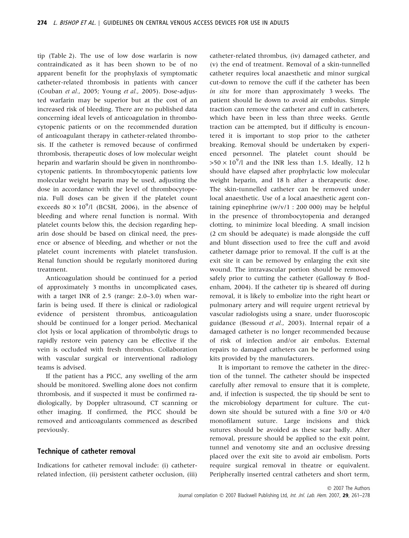tip (Table 2). The use of low dose warfarin is now contraindicated as it has been shown to be of no apparent benefit for the prophylaxis of symptomatic catheter-related thrombosis in patients with cancer (Couban et al., 2005; Young et al., 2005). Dose-adjusted warfarin may be superior but at the cost of an increased risk of bleeding. There are no published data concerning ideal levels of anticoagulation in thrombocytopenic patients or on the recommended duration of anticoagulant therapy in catheter-related thrombosis. If the catheter is removed because of confirmed thrombosis, therapeutic doses of low molecular weight heparin and warfarin should be given in nonthrombocytopenic patients. In thrombocytopenic patients low molecular weight heparin may be used, adjusting the dose in accordance with the level of thrombocytopenia. Full doses can be given if the platelet count exceeds  $80 \times 10^9$ /l (BCSH, 2006), in the absence of bleeding and where renal function is normal. With platelet counts below this, the decision regarding heparin dose should be based on clinical need, the presence or absence of bleeding, and whether or not the platelet count increments with platelet transfusion. Renal function should be regularly monitored during treatment.

Anticoagulation should be continued for a period of approximately 3 months in uncomplicated cases, with a target INR of 2.5 (range: 2.0–3.0) when warfarin is being used. If there is clinical or radiological evidence of persistent thrombus, anticoagulation should be continued for a longer period. Mechanical clot lysis or local application of thrombolytic drugs to rapidly restore vein patency can be effective if the vein is occluded with fresh thrombus. Collaboration with vascular surgical or interventional radiology teams is advised.

If the patient has a PICC, any swelling of the arm should be monitored. Swelling alone does not confirm thrombosis, and if suspected it must be confirmed radiologically, by Doppler ultrasound, CT scanning or other imaging. If confirmed, the PICC should be removed and anticoagulants commenced as described previously.

#### Technique of catheter removal

Indications for catheter removal include: (i) catheterrelated infection, (ii) persistent catheter occlusion, (iii) catheter-related thrombus, (iv) damaged catheter, and (v) the end of treatment. Removal of a skin-tunnelled catheter requires local anaesthetic and minor surgical cut-down to remove the cuff if the catheter has been in situ for more than approximately 3 weeks. The patient should lie down to avoid air embolus. Simple traction can remove the catheter and cuff in catheters, which have been in less than three weeks. Gentle traction can be attempted, but if difficulty is encountered it is important to stop prior to the catheter breaking. Removal should be undertaken by experienced personnel. The platelet count should be  $>50 \times 10^9$ /l and the INR less than 1.5. Ideally, 12 h should have elapsed after prophylactic low molecular weight heparin, and 18 h after a therapeutic dose. The skin-tunnelled catheter can be removed under local anaesthetic. Use of a local anaesthetic agent containing epinephrine  $(w/v/1 : 200 000)$  may be helpful in the presence of thrombocytopenia and deranged clotting, to minimize local bleeding. A small incision (2 cm should be adequate) is made alongside the cuff and blunt dissection used to free the cuff and avoid catheter damage prior to removal. If the cuff is at the exit site it can be removed by enlarging the exit site wound. The intravascular portion should be removed safely prior to cutting the catheter (Galloway & Bodenham, 2004). If the catheter tip is sheared off during removal, it is likely to embolize into the right heart or pulmonary artery and will require urgent retrieval by vascular radiologists using a snare, under fluoroscopic guidance (Bessoud et al., 2003). Internal repair of a damaged catheter is no longer recommended because of risk of infection and/or air embolus. External repairs to damaged catheters can be performed using kits provided by the manufacturers.

It is important to remove the catheter in the direction of the tunnel. The catheter should be inspected carefully after removal to ensure that it is complete, and, if infection is suspected, the tip should be sent to the microbiology department for culture. The cutdown site should be sutured with a fine 3/0 or 4/0 monofilament suture. Large incisions and thick sutures should be avoided as these scar badly. After removal, pressure should be applied to the exit point, tunnel and venotomy site and an occlusive dressing placed over the exit site to avoid air embolism. Ports require surgical removal in theatre or equivalent. Peripherally inserted central catheters and short term,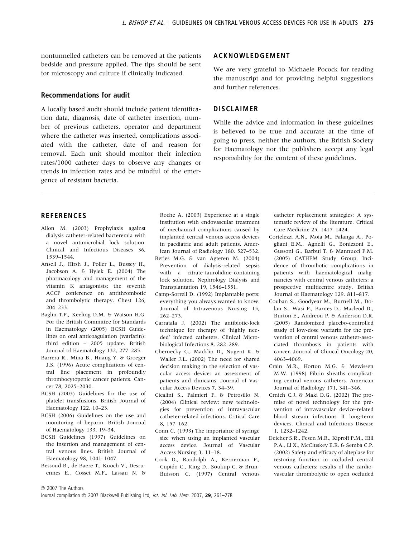nontunnelled catheters can be removed at the patients bedside and pressure applied. The tips should be sent for microscopy and culture if clinically indicated.

#### Recommendations for audit

A locally based audit should include patient identification data, diagnosis, date of catheter insertion, number of previous catheters, operator and department where the catheter was inserted, complications associated with the catheter, date of and reason for removal. Each unit should monitor their infection rates/1000 catheter days to observe any changes or trends in infection rates and be mindful of the emergence of resistant bacteria.

#### ACKNOWLEDGEMENT

We are very grateful to Michaele Pocock for reading the manuscript and for providing helpful suggestions and further references.

#### DISCLAIMER

While the advice and information in these guidelines is believed to be true and accurate at the time of going to press, neither the authors, the British Society for Haematology nor the publishers accept any legal responsibility for the content of these guidelines.

#### **REFERENCES**

- Allon M. (2003) Prophylaxis against dialysis catheter-related bacteremia with a novel antimicrobial lock solution. Clinical and Infectious Diseases 36, 1539–1544.
- Ansell J., Hirsh J., Poller L., Bussey H., Jacobson A. & Hylek E. (2004) The pharmacology and management of the vitamin K antagonists: the seventh ACCP conference on antithrombotic and thrombolytic therapy. Chest 126, 204–233.
- Baglin T.P., Keeling D.M. & Watson H.G. For the British Committee for Standards in Haematology (2005) BCSH Guidelines on oral anticoagulation (warfarin): third edition – 2005 update. British Journal of Haematology 132, 277–285.
- Barrera R., Mina B., Huang Y. & Groeger J.S. (1996) Acute complications of central line placement in profoundly thrombocytopenic cancer patients. Cancer 78, 2025–2030.
- BCSH (2003) Guidelines for the use of platelet transfusions. British Journal of Haematology 122, 10–23.
- BCSH (2006) Guidelines on the use and monitoring of heparin. British Journal of Haematology 133, 19–34.
- BCSH Guidelines (1997) Guidelines on the insertion and management of central venous lines. British Journal of Haematology 98, 1041–1047.
- Bessoud B., de Baere T., Kuoch V., Desruennes E., Cosset M.F., Lassau N. &

Roche A. (2003) Experience at a single institution with endovascular treatment of mechanical complications caused by implanted central venous access devices in paediatric and adult patients. American Journal of Radiology 180, 527–532.

- Betjes M.G. & van Agteren M. (2004) Prevention of dialysis-related sepsis with a citrate-taurolidine-containing lock solution. Nephrology Dialysis and Transplantation 19, 1546–1551.
- Camp-Sorrell D. (1992) Implantable ports: everything you always wanted to know. Journal of Intravenous Nursing 15, 262–273.
- Carratala J. (2002) The antibiotic-lock technique for therapy of 'highly needed' infected catheters. Clinical Microbiological Infections 8, 282–289.
- Chernecky C., Macklin D., Nugent K. & Waller J.L. (2002) The need for shared decision making in the selection of vascular access device: an assessment of patients and clinicians. Journal of Vascular Access Devices 7, 34–39.
- Cicalini S., Palmieri F. & Petrosillo N. (2004) Clinical review: new technologies for prevention of intravascular catheter-related infections. Critical Care 8, 157–162.
- Conn C. (1993) The importance of syringe size when using an implanted vascular access device. Journal of Vascular Access Nursing 3, 11–18.
- Cook D., Randolph A., Kernerman P., Cupido C., King D., Soukup C. & Brun-Buisson C. (1997) Central venous

catheter replacement strategies: A systematic review of the literature. Critical Care Medicine 25, 1417–1424.

- Cortelezzi A.N., Moia M., Falanga A., Pogliani E.M., Agnelli G., Bonizzoni E., Gussoni G., Barbui T. & Mannucci P.M. (2005) CATHEM Study Group. Incidence of thrombotic complications in patients with haematological malignancies with central venous catheters: a prospective multicentre study. British Journal of Haematology 129, 811–817.
- Couban S., Goodyear M., Burnell M., Dolan S., Wasi P., Barnes D., Macleod D., Burton E., Andreou P. & Anderson D.R. (2005) Randomized placebo-controlled study of low-dose warfarin for the prevention of central venous catheter-associated thrombosis in patients with cancer. Journal of Clinical Oncology 20, 4063–4069.
- Crain M.R., Horton M.G. & Mewissen M.W. (1998) Fibrin sheaths complicating central venous catheters. American Journal of Radiology 171, 341–346.
- Crnich C.J. & Maki D.G. (2002) The promise of novel technology for the prevention of intravascular device-related blood stream infections II long-term devices. Clinical and Infectious Disease 1, 1232–1242.
- Deicher S.R., Fesen M.R., Kiproff P.M., Hill P.A., Li X., McCluskey E.R. & Semba C.P. (2002) Safety and efficacy of alteplase for restoring function in occluded central venous catheters: results of the cardiovascular thrombolytic to open occluded

<sup>© 2007</sup> The Authors

Journal compilation © 2007 Blackwell Publishing Ltd, Int. Jnl. Lab. Hem. 2007, 29, 261–278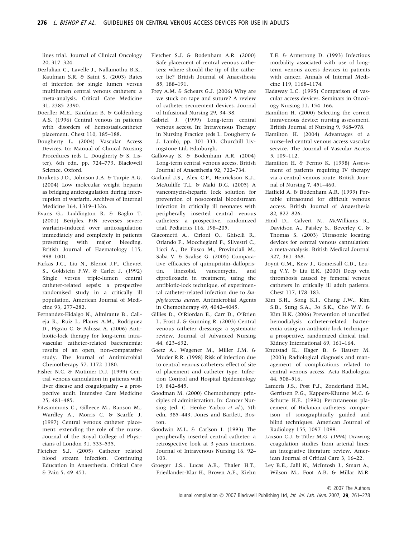lines trial. Journal of Clinical Oncology 20, 317–324.

- Dezfulian C., Lavelle J., Nallamothu B.K., Kaufman S.R. & Saint S. (2003) Rates of infection for single lumen versus multilumen central venous catheters: a meta-analysis. Critical Care Medicine 31, 2385–2390.
- Doerfler M.E., Kaufman B. & Goldenberg A.S. (1996) Central venous in patients with disorders of hemostasis.catheter placement. Chest 110, 185–188.
- Dougherty L. (2004) Vascular Access Devices. In: Manual of Clinical Nursing Procedures (eds L. Dougherty & S. Lister), 6th edn, pp. 724–773. Blackwell Science, Oxford.
- Douketis J.D., Johnson J.A. & Turpie A.G. (2004) Low molecular weight heparin as bridging anticoagulation during interruption of warfarin. Archives of Internal Medicine 164, 1319–1326.
- Evans G., Luddington R. & Baglin T. (2001) Beriplex P/N reverses severe warfarin-induced over anticoagulation immediately and completely in patients presenting with major bleeding. British Journal of Haematology 115, 998–1001.
- Farkas J.C., Liu N., Bleriot J.P., Chevret S., Goldstein F.W. & Carlet J. (1992) Single versus triple-lumen central catheter-related sepsis: a prospective randomised study in a critically ill population. American Journal of Medicine 93, 277–282.
- Fernandez-Hidalgo N., Almirante B., Calleja R., Ruiz I., Planes A.M., Rodriguez D., Pigrau C. & Pahissa A. (2006) Antibiotic-lock therapy for long-term intravascular catheter-related bacteraemia: results of an open, non-comparative study. The Journal of Antimicrobial Chemotherapy 57, 1172–1180.
- Fisher N.C. & Mutimer D.J. (1999) Central venous cannulation in patients with liver disease and coagulopathy – a prospective audit. Intensive Care Medicine 25, 481–485.
- Fitzsimmons C., Gilleece M., Ranson M., Wardley A., Morris C. & Scarffe J. (1997) Central venous catheter placement: extending the role of the nurse. Journal of the Royal College of Physicians of London 31, 533–535.
- Fletcher S.J. (2005) Catheter related blood stream infection. Continuing Education in Anaesthesia. Critical Care & Pain 5, 49–451.
- Fletcher S.J. & Bodenham A.R. (2000) Safe placement of central venous catheters: where should the tip of the catheter lie? British Journal of Anaesthesia 85, 188–191.
- Frey A.M. & Schears G.J. (2006) Why are we stuck on tape and suture? A review of catheter securement devices. Journal of Infusional Nursing 29, 34–38.
- Gabriel J. (1999) Long-term central venous access. In: Intravenous Therapy in Nursing Practice (eds L. Dougherty & J. Lamb), pp. 301–333. Churchill Livingstone Ltd, Edinburgh.
- Galloway S. & Bodenham A.R. (2004) Long-term central venous access. British Journal of Anaesthesia 92, 722–734.
- Garland J.S., Alex C.P., Henrickson K.J., McAuliffe T.L. & Maki D.G. (2005) A vancomycin-heparin lock solution for prevention of nosocomial bloodstream infection in critically ill neonates with peripherally inserted central venous catheters: a prospective, randomized trial. Pediatrics 116, 198–205.
- Giacometti A., Cirioni O., Ghiselli R., Orlando F., Mocchegiani F., Silvestri C., Licci A., De Fusco M., Provinciali M., Saba V. & Scalise G. (2005) Comparative efficacies of quinupristin–dalfopristin, linezolid, vancomycin, and ciprofloxacin in treatment, using the antibiotic-lock technique, of experimental catheter-related infection due to Staphylococcus aureus. Antimicrobial Agents in Chemotherapy 49, 4042–4045.
- Gillies D., O'Riordan E., Carr D., O'Brien I., Frost J. & Gunning R. (2003) Central venous catheter dressings: a systematic review. Journal of Advanced Nursing 44, 623–632.
- Goetz A., Wagener M., Miller J.M. & Muder R.R. (1998) Risk of infection due to central venous catheters: effect of site of placement and catheter type. Infection Control and Hospital Epidemiology 19, 842–845.
- Goodman M. (2000) Chemotherapy: principles of administration. In: Cancer Nursing (ed. C. Henke Yarbro et al.), 5th edn, 385–443. Jones and Bartlett, Boston.
- Goodwin M.L. & Carlson I. (1993) The peripherally inserted central catheter: a retrospective look at 3 years insertions. Journal of Intravenous Nursing 16, 92– 103.
- Groeger J.S., Lucas A.B., Thaler H.T., Friedlander-Klar H., Brown A.E., Kiehn

T.E. & Armstrong D. (1993) Infectious morbidity associated with use of longterm venous access devices in patients with cancer. Annals of Internal Medicine 119, 1168–1174.

- Hadaway L.C. (1995) Comparison of vascular access devices. Seminars in Oncology Nursing 11, 154–166.
- Hamilton H. (2000) Selecting the correct intravenous device: nursing assessment. British Journal of Nursing 9, 968–978.
- Hamilton H. (2004) Advantages of a nurse-led central venous access vascular service. The Journal of Vascular Access 5, 109–112.
- Hamilton H. & Fermo K. (1998) Assessment of patients requiring IV therapy via a central venous route. British Journal of Nursing 7, 451–460.
- Hatfield A. & Bodenham A.R. (1999) Portable ultrasound for difficult venous access. British Journal of Anaesthesia 82, 822–826.
- Hind D., Calvert N., McWilliams R., Davidson A., Paisley S., Beverley C. & Thomas S. (2003) Ultrasonic locating devices for central venous cannulation: a meta-analysis. British Medical Journal 327, 361–368.
- Joynt G.M., Kew J., Gomersall C.D., Leung V.Y. & Liu E.K. (2000) Deep vein thrombosis caused by femoral venous catheters in critically ill adult patients. Chest 117, 178–183.
- Kim S.H., Song K.I., Chang J.W., Kim S.B., Sung S.A., Jo S.K., Cho W.Y. & Kim H.K. (2006) Prevention of uncuffed hemodialysis catheter-related bacteremia using an antibiotic lock technique: a prospective, randomized clinical trial. Kidney International 69, 161–164.
- Knutstad K., Hager B. & Hauser M. (2003) Radiological diagnosis and management of complications related to central venous access. Acta Radiologica 44, 508–516.
- Lameris J.S., Post P.J., Zonderland H.M., Gerritsen P.G., Kappers-Klunne M.C. & Schutte H.E. (1990) Percutaneous placement of Hickman catheters: comparison of sonographically guided and blind techniques. American Journal of Radiology 155, 1097–1099.
- Laxson C.J. & Titler M.G. (1994) Drawing coagulation studies from arterial lines: an integrative literature review. American Journal of Critical Care 3, 16–22.
- Ley B.E., Jalil N., McIntosh J., Smart A., Wilson M., Foot A.B. & Millar M.R.

© 2007 The Authors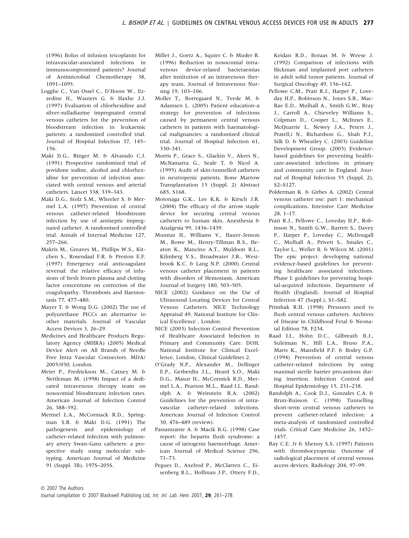(1996) Bolus of infusion teicoplanin for intravascular-associated infections in immunocompromised patients? Journal of Antimicrobial Chemotherapy 38, 1091–1095.

- Logghe C., Van Ossel C., D'Hoore W., Ezzedine H., Wauters G. & Haxhe J.J. (1997) Evaluation of chlorhexidine and silver-sulfadiazine impregnated central venous catheters for the prevention of bloodstream infection in leukaemic patients: a randomized controlled trial. Journal of Hospital Infection 37, 145– 156.
- Maki D.G., Ringer M. & Alvarado C.J. (1991) Prospective randomized trial of povidone iodine, alcohol and chlorhexidine for prevention of infection associated with central venous and arterial catheters. Lancet 338, 339–343.
- Maki D.G., Stolz S.M., Wheeler S. & Mermel L.A. (1997) Prevention of central venous catheter-related bloodstream infection by use of antiseptic impregnated catheter. A randomised controlled trial. Annals of Internal Medicine 127, 257–266.
- Makris M., Greaves M., Phillips W.S., Kitchen S., Rosendaal F.R. & Preston E.F. (1997) Emergency oral anticoagulant reversal: the relative efficacy of infusions of fresh frozen plasma and clotting factor concentrate on correction of the coagulopathy. Thrombosis and Haemostasis 77, 477–480.
- Mayer T. & Wong D.G. (2002) The use of polyurethane PICCs an alternative to other materials. Journal of Vascular Access Devices 3, 26–29.
- Medicines and Healthcare Products Regulatory Agency (MHRA) (2005) Medical Device Alert on All Brands of Needle Free Intra Vascular Connectors. MDA/ 2005/030, London.
- Meier P., Fredrickson M., Catney M. & Nettleman M. (1998) Impact of a dedicated intravenous therapy team on nosocomial bloodstream infection rates. American Journal of Infection Control 26, 388–392.
- Mermel L.A., McCormack R.D., Springman S.R. & Maki D.G. (1991) The pathogenesis and epidemiology of catheter-related infection with pulmonary artery Swan-Ganz catheters: a prospective study using molecular subtyping. American Journal of Medicine 91 (Suppl. 3B), 197S–205S.
- Miller J., Goetz A., Squier C. & Muder R. (1996) Reduction in nosocomial intravenous device-related bacteraemias after institution of an intravenous therapy team. Journal of Intravenous Nursing 19, 103–106.
- Moller T., Borregaard N., Tvede M. & Adamsen L. (2005) Patient education–a strategy for prevention of infections caused by permanent central venous catheters in patients with haematological malignancies: a randomized clinical trial. Journal of Hospital Infection 61, 330–341.
- Morris P., Grace S., Glackin V., Akers N., McNamarra G., Seale T. & Nicol A. (1995) Audit of skin-tunnelled catheters in neutropenic patients. Bone Marrow Transplantation 15 (Suppl. 2) Abstract 685, S168.
- Motonaga G.K., Lee K.K. & Kirsch J.R. (2004) The efficacy of the arrow staple device for securing central venous catheters to human skin. Anesthesia & Analgesia 99, 1436–1439.
- Mumtaz H., Williams V., Hauer-Jenson M., Rowe M., Henry-Tillman R.S., Heaton K., Mancino A.T., Muldoon R.L., Kilmberg V.S., Broadwater J.R., Westbrook K.C. & Lang N.P. (2000) Central venous catheter placement in patients with disorders of Hemostasis. American Journal of Surgery 180, 503–505.
- NICE (2002) Guidance on the Use of Ultrasound Locating Devices for Central Venous Catheters. NICE Technology Appraisal 49. National Institute for Clinical Excellence , London.
- NICE (2003) Infection Control Prevention of Healthcare Associated Infection in Primary and Community Care. DOH, National Institute for Clinical Excellence, London, Clinical Guidelines 2.
- O'Grady N.P., Alexander M., Dellinger E.P., Gerberdin J.L., Heard S.O., Maki D.G., Masur H., McCormick R.D., Mermel L.A., Pearson M.L., Raad I.I., Randolph A. & Weinstein R.A. (2002) Guidelines for the prevention of intravascular catheter-related infections. American Journal of Infection Control 30, 476–489 (review).
- Passannante A. & Macik B.G. (1998) Case report: the heparin flush syndrome: a cause of iatrogenic haemorrhage. American Journal of Medical Science 296, 71–73.
- Pegues D., Axelrod P., McClarren C., Eisenberg B.L., Hoffman J.P., Ottery F.D.,

Keidan R.D., Boraas M. & Weese J. (1992) Comparison of infections with Hickman and implanted port catheters in adult solid tumor patients. Journal of Surgical Oncology 49, 156–162.

- Pellowe C.M., Pratt R.J., Harper P., Loveday H.P., Robinson N., Jones S.R., Mac-Rae E.D., Mulhall A., Smith G.W., Bray J., Carroll A., Chieveley Williams S., Colpman D., Cooper L., McInnes E., McQuarrie I., Newey J.A., Peters J., Pratell,i N., Richardson G., Shah P.J., Silk D. & Wheatley C. (2003) Guideline Development Group. (2003) Evidencebased guidelines for preventing healthcare-associated infections in primary and community care in England. Journal of Hospital Infection 55 (Suppl. 2), S2–S127.
- Polderman K. & Girbes A. (2002) Central venous catheter use: part 1: mechanical complications. Intensive Care Medicine 28, 1–17.
- Pratt R.J., Pellowe C., Loveday H.P., Robinson N., Smith G.W., Barrett S., Davey P., Harper P., Loveday C., McDougall C., Mulhall A., Privett S., Smales C., Taylor L., Weller B. & Wilcox M. (2001) The epic project: developing national evidence-based guidelines for preventing healthcare associated infections. Phase I: guidelines for preventing hospital-acquired infections. Department of Health (England). Journal of Hospital Infection 47 (Suppl.), S1–S82.
- Primhak R.H. (1998) Pressures used to flush central venous catheters. Archives of Disease in Childhood Fetal & Neonatal Edition 78, F234.
- Raad I.I., Hohn D.C., Gilbreath B.J., Suleiman N., Hill L.A., Bruso P.A., Marts K., Mansfield P.F. & Bodey G.P. (1994) Prevention of central venous catheter-related infections by using maximal sterile barrier precautions during insertion. Infection Control and Hospital Epidemiology 15, 231–238.
- Randolph A., Cook D.J., Gonzales C.A. & Brun-Buisson C. (1998) Tunnelling short-term central venous catheters to prevent catheter-related infection: a meta-analysis of randomized controlled trials. Critical Care Medicine 26, 1452– 1457.
- Ray C.E. Jr & Shenoy S.S. (1997) Patients with thrombocytopenia: Outcome of radiological placement of central venous access devices. Radiology 204, 97–99.

© 2007 The Authors

Journal compilation © 2007 Blackwell Publishing Ltd, *Int. Jnl. Lab. Hem.* 2007, 29, 261–278